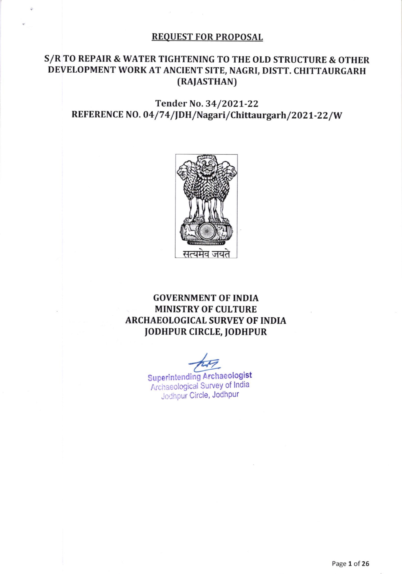#### REQUEST FOR PROPOSAL

## S/R TO REPAIR & WATER TIGHTENING TO THE OLD STRUCTURE & OTHER DEVELOPMENT WORK AT ANCIENT SITE, NAGRI, DISTT. CHITTAURGARH (RAIASTHAN)

## Tender No.34/ZOZI-22 REFERENCE NO. 04/74/JDH/Nagari/Chittaurgarh/2021-22/W



GOVERNMENT OF INDIA MINISTRY OF CULTURE ARCHAEOLOGICAL SURVEY OF INDIA JODHPUR CIRCLE, JODHPUR

\*

Superintending Archaeologist Archaeological Survey of India Jodhpur Circle, Jodhpur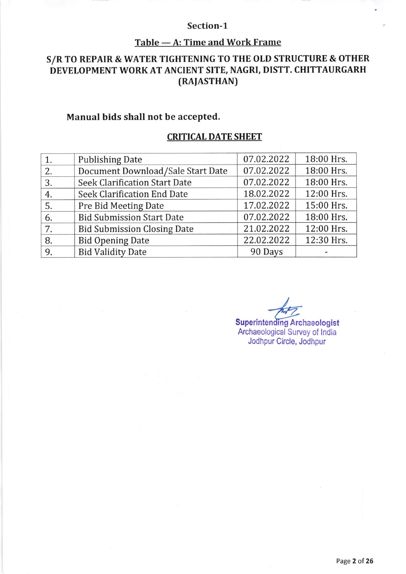#### Section-1

# <u>Table — A: Time and Work Frame</u>

# S/R TO REPAIR & WATER TIGHTENING TO THE OLD STRUCTURE & OTHER DEVELOPMENT WORK AT ANCIENT SITE, NAGRI, DISTT. CHITTAURGARH (RAJASTHAN)

## Manual bids shall not be accepted.

## CRITICAL DATE SHEET

|    | <b>Publishing Date</b>               | 07.02.2022 | 18:00 Hrs. |
|----|--------------------------------------|------------|------------|
| 2. | Document Download/Sale Start Date    | 07.02.2022 | 18:00 Hrs. |
| 3. | <b>Seek Clarification Start Date</b> | 07.02.2022 | 18:00 Hrs. |
| 4. | Seek Clarification End Date          | 18.02.2022 | 12:00 Hrs. |
| 5. | Pre Bid Meeting Date                 | 17.02.2022 | 15:00 Hrs. |
| 6. | <b>Bid Submission Start Date</b>     | 07.02.2022 | 18:00 Hrs. |
| 7. | <b>Bid Submission Closing Date</b>   | 21.02.2022 | 12:00 Hrs. |
| 8. | <b>Bid Opening Date</b>              | 22.02.2022 | 12:30 Hrs. |
| 9. | <b>Bid Validity Date</b>             | 90 Days    |            |

I Superintending Archaeologist Archaeological Survey of lndia Jodhpur Circle, Jodhpur